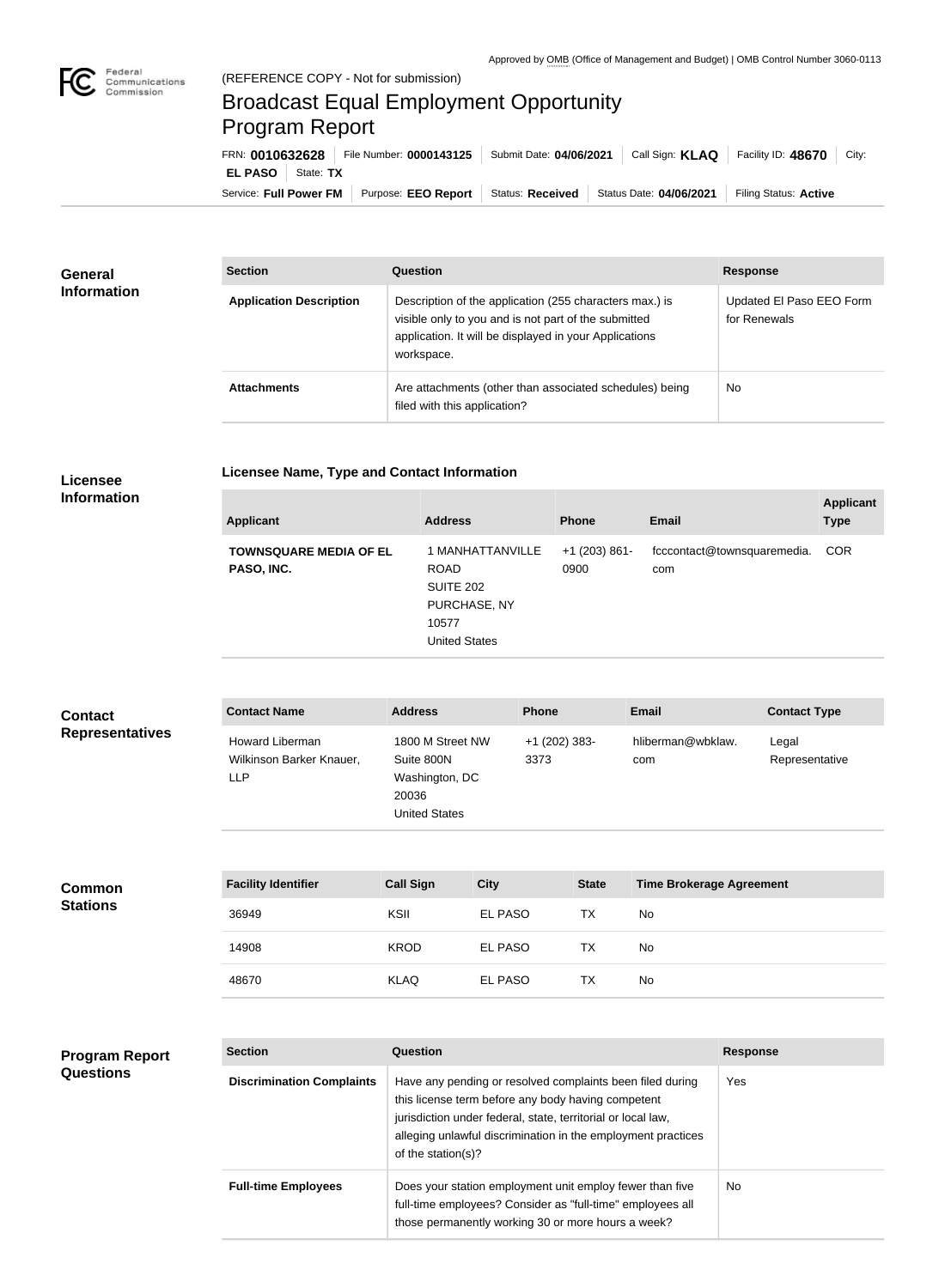

## Broadcast Equal Employment Opportunity Program Report

**Licensee Name, Type and Contact Information**

| FRN: 0010632628            | File Number: 0000143125                      | Submit Date: 04/06/2021 | Call Sign: <b>KLAQ</b>  | Facility ID: 48670<br>City: |
|----------------------------|----------------------------------------------|-------------------------|-------------------------|-----------------------------|
| <b>EL PASO</b>   State: TX |                                              |                         |                         |                             |
|                            | Service: Full Power FM   Purpose: EEO Report | Status: Received        | Status Date: 04/06/2021 | Filing Status: Active       |

| <b>General</b><br><b>Information</b> | <b>Section</b>                 | <b>Question</b>                                                                                                                                                                         | <b>Response</b>                          |
|--------------------------------------|--------------------------------|-----------------------------------------------------------------------------------------------------------------------------------------------------------------------------------------|------------------------------------------|
|                                      | <b>Application Description</b> | Description of the application (255 characters max.) is<br>visible only to you and is not part of the submitted<br>application. It will be displayed in your Applications<br>workspace. | Updated El Paso EEO Form<br>for Renewals |
|                                      | <b>Attachments</b>             | Are attachments (other than associated schedules) being<br>filed with this application?                                                                                                 | <b>No</b>                                |

## **Licensee Information**

| <b>Applicant</b>                            | <b>Address</b>                                                                                       | <b>Phone</b>            | <b>Email</b>                       | <b>Applicant</b><br><b>Type</b> |
|---------------------------------------------|------------------------------------------------------------------------------------------------------|-------------------------|------------------------------------|---------------------------------|
| <b>TOWNSQUARE MEDIA OF EL</b><br>PASO, INC. | 1 MANHATTANVILLE<br><b>ROAD</b><br><b>SUITE 202</b><br>PURCHASE, NY<br>10577<br><b>United States</b> | $+1$ (203) 861-<br>0900 | fcccontact@townsquaremedia.<br>com | <b>COR</b>                      |

| <b>Contact</b><br><b>Representatives</b>  | <b>Contact Name</b>                                              | <b>Address</b>                                                                                                  |             | <b>Phone</b>          |              | <b>Email</b>                    |                 | <b>Contact Type</b>     |
|-------------------------------------------|------------------------------------------------------------------|-----------------------------------------------------------------------------------------------------------------|-------------|-----------------------|--------------|---------------------------------|-----------------|-------------------------|
|                                           | <b>Howard Liberman</b><br>Wilkinson Barker Knauer,<br><b>LLP</b> | 1800 M Street NW<br>Suite 800N<br>Washington, DC<br>20036<br><b>United States</b>                               |             | +1 (202) 383-<br>3373 |              | hliberman@wbklaw.<br>com        |                 | Legal<br>Representative |
| <b>Common</b>                             | <b>Facility Identifier</b>                                       | <b>Call Sign</b>                                                                                                | <b>City</b> |                       | <b>State</b> | <b>Time Brokerage Agreement</b> |                 |                         |
| <b>Stations</b>                           | 36949                                                            | KSII                                                                                                            | EL PASO     |                       | <b>TX</b>    | No                              |                 |                         |
|                                           | 14908                                                            | <b>KROD</b>                                                                                                     | EL PASO     |                       | <b>TX</b>    | No                              |                 |                         |
|                                           | 48670                                                            | <b>KLAQ</b>                                                                                                     | EL PASO     |                       | <b>TX</b>    | No                              |                 |                         |
|                                           |                                                                  |                                                                                                                 |             |                       |              |                                 |                 |                         |
| <b>Program Report</b><br><b>Questions</b> | <b>Section</b>                                                   | Question                                                                                                        |             |                       |              |                                 | <b>Response</b> |                         |
|                                           | <b>Discrimination Complaints</b>                                 | Have any pending or resolved complaints been filed during<br>this license term before any body having competent |             |                       |              | Yes                             |                 |                         |

|                            | uns noehse term before any bouy naving competent<br>jurisdiction under federal, state, territorial or local law,<br>alleging unlawful discrimination in the employment practices<br>of the station(s)? |    |
|----------------------------|--------------------------------------------------------------------------------------------------------------------------------------------------------------------------------------------------------|----|
| <b>Full-time Employees</b> | Does your station employment unit employ fewer than five<br>full-time employees? Consider as "full-time" employees all<br>those permanently working 30 or more hours a week?                           | No |